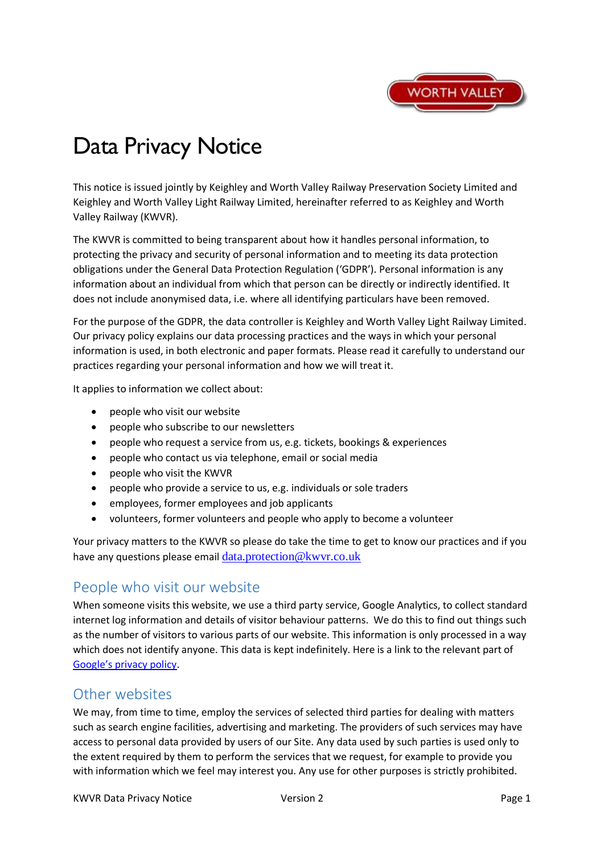

# Data Privacy Notice

This notice is issued jointly by Keighley and Worth Valley Railway Preservation Society Limited and Keighley and Worth Valley Light Railway Limited, hereinafter referred to as Keighley and Worth Valley Railway (KWVR).

The KWVR is committed to being transparent about how it handles personal information, to protecting the privacy and security of personal information and to meeting its data protection obligations under the General Data Protection Regulation ('GDPR'). Personal information is any information about an individual from which that person can be directly or indirectly identified. It does not include anonymised data, i.e. where all identifying particulars have been removed.

For the purpose of the GDPR, the data controller is Keighley and Worth Valley Light Railway Limited. Our privacy policy explains our data processing practices and the ways in which your personal information is used, in both electronic and paper formats. Please read it carefully to understand our practices regarding your personal information and how we will treat it.

It applies to information we collect about:

- people who visit our website
- people who subscribe to our newsletters
- people who request a service from us, e.g. tickets, bookings & experiences
- people who contact us via telephone, email or social media
- people who visit the KWVR
- people who provide a service to us, e.g. individuals or sole traders
- employees, former employees and job applicants
- volunteers, former volunteers and people who apply to become a volunteer

Your privacy matters to the KWVR so please do take the time to get to know our practices and if you have any questions please email data.protection@kwvr.co.uk

## People who visit our website

When someone visits this website, we use a third party service, Google Analytics, to collect standard internet log information and details of visitor behaviour patterns. We do this to find out things such as the number of visitors to various parts of our website. This information is only processed in a way which does not identify anyone. This data is kept indefinitely. Here is a link to the relevant part of Google's privacy policy.

## Other websites

We may, from time to time, employ the services of selected third parties for dealing with matters such as search engine facilities, advertising and marketing. The providers of such services may have access to personal data provided by users of our Site. Any data used by such parties is used only to the extent required by them to perform the services that we request, for example to provide you with information which we feel may interest you. Any use for other purposes is strictly prohibited.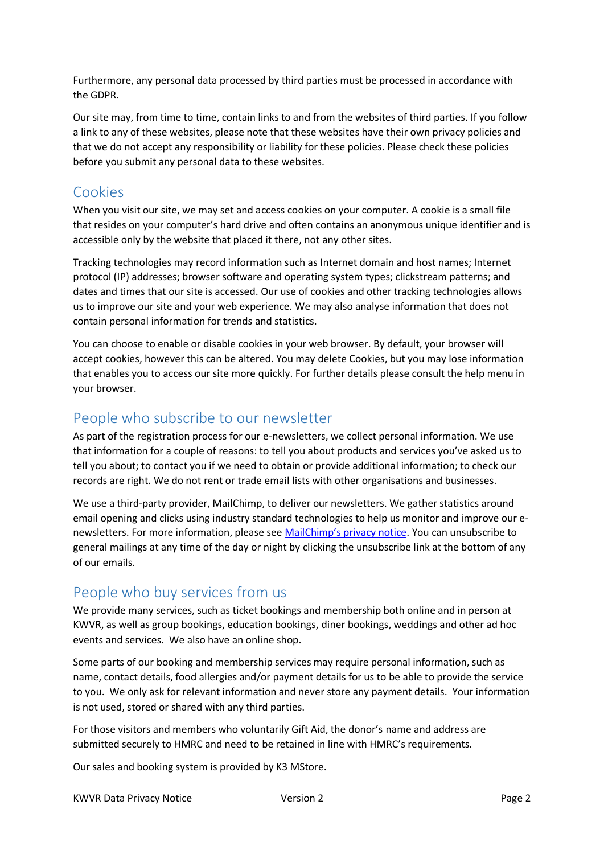Furthermore, any personal data processed by third parties must be processed in accordance with the GDPR.

Our site may, from time to time, contain links to and from the websites of third parties. If you follow a link to any of these websites, please note that these websites have their own privacy policies and that we do not accept any responsibility or liability for these policies. Please check these policies before you submit any personal data to these websites.

## Cookies

When you visit our site, we may set and access cookies on your computer. A cookie is a small file that resides on your computer's hard drive and often contains an anonymous unique identifier and is accessible only by the website that placed it there, not any other sites.

Tracking technologies may record information such as Internet domain and host names; Internet protocol (IP) addresses; browser software and operating system types; clickstream patterns; and dates and times that our site is accessed. Our use of cookies and other tracking technologies allows us to improve our site and your web experience. We may also analyse information that does not contain personal information for trends and statistics.

You can choose to enable or disable cookies in your web browser. By default, your browser will accept cookies, however this can be altered. You may delete Cookies, but you may lose information that enables you to access our site more quickly. For further details please consult the help menu in your browser.

# People who subscribe to our newsletter

As part of the registration process for our e-newsletters, we collect personal information. We use that information for a couple of reasons: to tell you about products and services you've asked us to tell you about; to contact you if we need to obtain or provide additional information; to check our records are right. We do not rent or trade email lists with other organisations and businesses.

We use a third-party provider, MailChimp, to deliver our newsletters. We gather statistics around email opening and clicks using industry standard technologies to help us monitor and improve our enewsletters. For more information, please see MailChimp's privacy notice. You can unsubscribe to general mailings at any time of the day or night by clicking the unsubscribe link at the bottom of any of our emails.

# People who buy services from us

We provide many services, such as ticket bookings and membership both online and in person at KWVR, as well as group bookings, education bookings, diner bookings, weddings and other ad hoc events and services. We also have an online shop.

Some parts of our booking and membership services may require personal information, such as name, contact details, food allergies and/or payment details for us to be able to provide the service to you. We only ask for relevant information and never store any payment details. Your information is not used, stored or shared with any third parties.

For those visitors and members who voluntarily Gift Aid, the donor's name and address are submitted securely to HMRC and need to be retained in line with HMRC's requirements.

Our sales and booking system is provided by K3 MStore.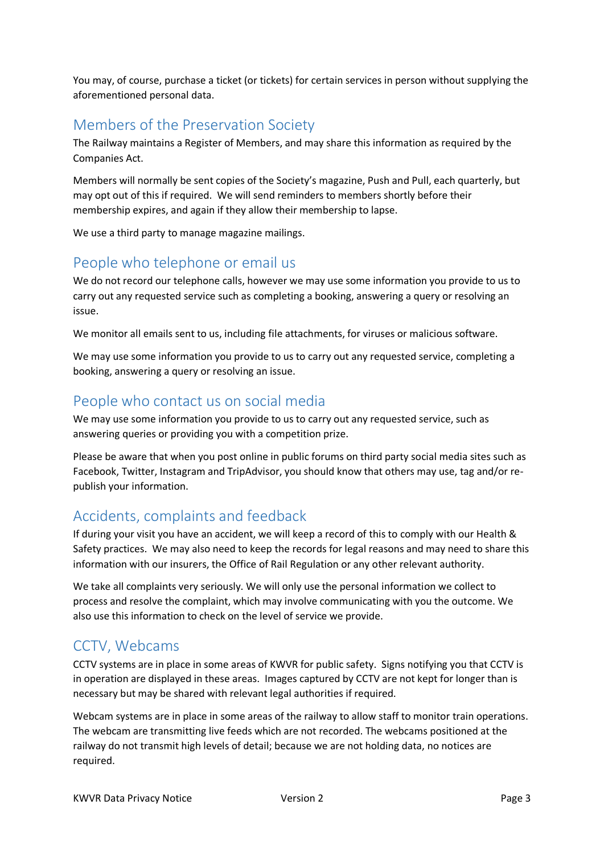You may, of course, purchase a ticket (or tickets) for certain services in person without supplying the aforementioned personal data.

## Members of the Preservation Society

The Railway maintains a Register of Members, and may share this information as required by the Companies Act.

Members will normally be sent copies of the Society's magazine, Push and Pull, each quarterly, but may opt out of this if required. We will send reminders to members shortly before their membership expires, and again if they allow their membership to lapse.

We use a third party to manage magazine mailings.

# People who telephone or email us

We do not record our telephone calls, however we may use some information you provide to us to carry out any requested service such as completing a booking, answering a query or resolving an issue.

We monitor all emails sent to us, including file attachments, for viruses or malicious software.

We may use some information you provide to us to carry out any requested service, completing a booking, answering a query or resolving an issue.

## People who contact us on social media

We may use some information you provide to us to carry out any requested service, such as answering queries or providing you with a competition prize.

Please be aware that when you post online in public forums on third party social media sites such as Facebook, Twitter, Instagram and TripAdvisor, you should know that others may use, tag and/or republish your information.

## Accidents, complaints and feedback

If during your visit you have an accident, we will keep a record of this to comply with our Health & Safety practices. We may also need to keep the records for legal reasons and may need to share this information with our insurers, the Office of Rail Regulation or any other relevant authority.

We take all complaints very seriously. We will only use the personal information we collect to process and resolve the complaint, which may involve communicating with you the outcome. We also use this information to check on the level of service we provide.

# CCTV, Webcams

CCTV systems are in place in some areas of KWVR for public safety. Signs notifying you that CCTV is in operation are displayed in these areas. Images captured by CCTV are not kept for longer than is necessary but may be shared with relevant legal authorities if required.

Webcam systems are in place in some areas of the railway to allow staff to monitor train operations. The webcam are transmitting live feeds which are not recorded. The webcams positioned at the railway do not transmit high levels of detail; because we are not holding data, no notices are required.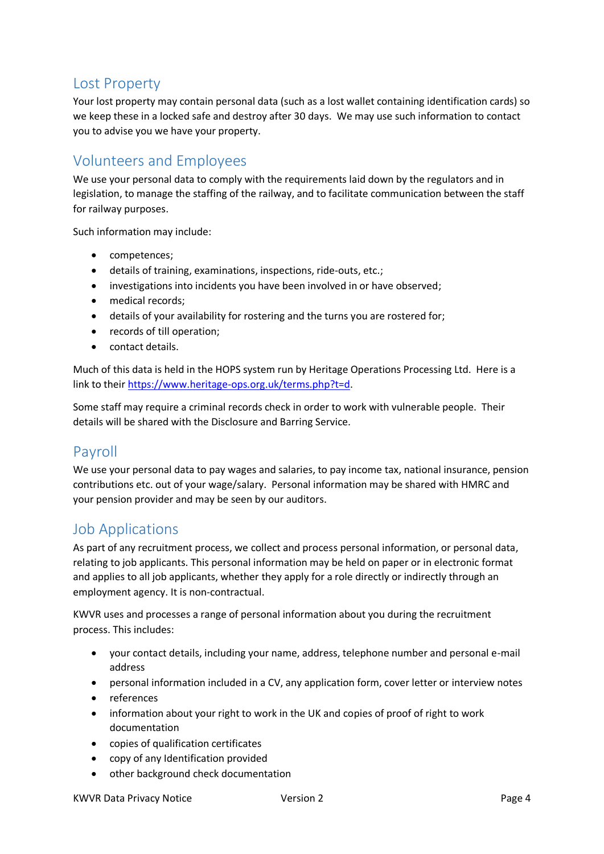## Lost Property

Your lost property may contain personal data (such as a lost wallet containing identification cards) so we keep these in a locked safe and destroy after 30 days. We may use such information to contact you to advise you we have your property.

## Volunteers and Employees

We use your personal data to comply with the requirements laid down by the regulators and in legislation, to manage the staffing of the railway, and to facilitate communication between the staff for railway purposes.

Such information may include:

- competences;
- details of training, examinations, inspections, ride-outs, etc.;
- investigations into incidents you have been involved in or have observed;
- medical records:
- details of your availability for rostering and the turns you are rostered for;
- records of till operation;
- contact details.

Much of this data is held in the HOPS system run by Heritage Operations Processing Ltd. Here is a link to their https://www.heritage-ops.org.uk/terms.php?t=d.

Some staff may require a criminal records check in order to work with vulnerable people. Their details will be shared with the Disclosure and Barring Service.

## Payroll

We use your personal data to pay wages and salaries, to pay income tax, national insurance, pension contributions etc. out of your wage/salary. Personal information may be shared with HMRC and your pension provider and may be seen by our auditors.

## Job Applications

As part of any recruitment process, we collect and process personal information, or personal data, relating to job applicants. This personal information may be held on paper or in electronic format and applies to all job applicants, whether they apply for a role directly or indirectly through an employment agency. It is non-contractual.

KWVR uses and processes a range of personal information about you during the recruitment process. This includes:

- your contact details, including your name, address, telephone number and personal e-mail address
- personal information included in a CV, any application form, cover letter or interview notes
- references
- information about your right to work in the UK and copies of proof of right to work documentation
- copies of qualification certificates
- copy of any Identification provided
- other background check documentation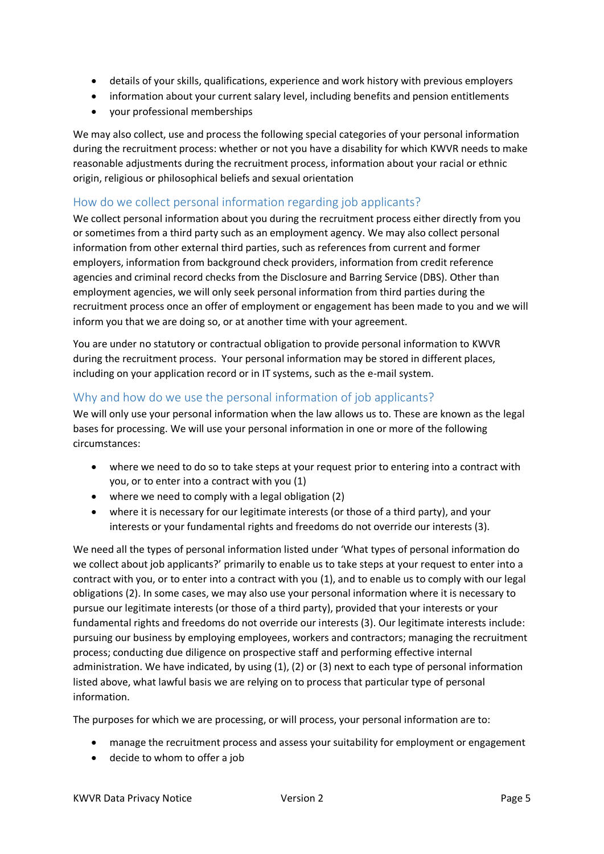- details of your skills, qualifications, experience and work history with previous employers
- information about your current salary level, including benefits and pension entitlements
- your professional memberships

We may also collect, use and process the following special categories of your personal information during the recruitment process: whether or not you have a disability for which KWVR needs to make reasonable adjustments during the recruitment process, information about your racial or ethnic origin, religious or philosophical beliefs and sexual orientation

#### How do we collect personal information regarding job applicants?

We collect personal information about you during the recruitment process either directly from you or sometimes from a third party such as an employment agency. We may also collect personal information from other external third parties, such as references from current and former employers, information from background check providers, information from credit reference agencies and criminal record checks from the Disclosure and Barring Service (DBS). Other than employment agencies, we will only seek personal information from third parties during the recruitment process once an offer of employment or engagement has been made to you and we will inform you that we are doing so, or at another time with your agreement.

You are under no statutory or contractual obligation to provide personal information to KWVR during the recruitment process. Your personal information may be stored in different places, including on your application record or in IT systems, such as the e-mail system.

#### Why and how do we use the personal information of job applicants?

We will only use your personal information when the law allows us to. These are known as the legal bases for processing. We will use your personal information in one or more of the following circumstances:

- where we need to do so to take steps at your request prior to entering into a contract with you, or to enter into a contract with you (1)
- where we need to comply with a legal obligation (2)
- where it is necessary for our legitimate interests (or those of a third party), and your interests or your fundamental rights and freedoms do not override our interests (3).

We need all the types of personal information listed under 'What types of personal information do we collect about job applicants?' primarily to enable us to take steps at your request to enter into a contract with you, or to enter into a contract with you (1), and to enable us to comply with our legal obligations (2). In some cases, we may also use your personal information where it is necessary to pursue our legitimate interests (or those of a third party), provided that your interests or your fundamental rights and freedoms do not override our interests (3). Our legitimate interests include: pursuing our business by employing employees, workers and contractors; managing the recruitment process; conducting due diligence on prospective staff and performing effective internal administration. We have indicated, by using (1), (2) or (3) next to each type of personal information listed above, what lawful basis we are relying on to process that particular type of personal information.

The purposes for which we are processing, or will process, your personal information are to:

- manage the recruitment process and assess your suitability for employment or engagement
- decide to whom to offer a job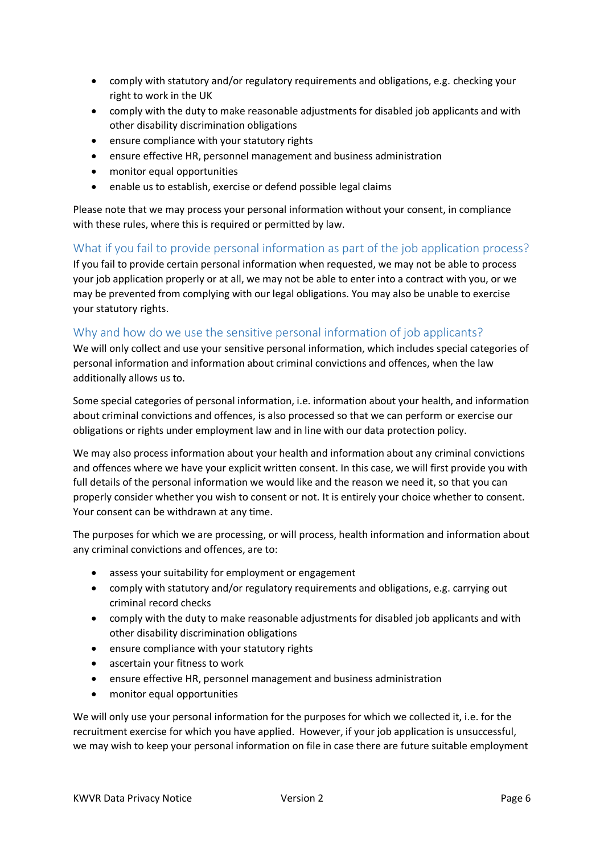- comply with statutory and/or regulatory requirements and obligations, e.g. checking your right to work in the UK
- comply with the duty to make reasonable adjustments for disabled job applicants and with other disability discrimination obligations
- ensure compliance with your statutory rights
- ensure effective HR, personnel management and business administration
- monitor equal opportunities
- enable us to establish, exercise or defend possible legal claims

Please note that we may process your personal information without your consent, in compliance with these rules, where this is required or permitted by law.

### What if you fail to provide personal information as part of the job application process?

If you fail to provide certain personal information when requested, we may not be able to process your job application properly or at all, we may not be able to enter into a contract with you, or we may be prevented from complying with our legal obligations. You may also be unable to exercise your statutory rights.

### Why and how do we use the sensitive personal information of job applicants?

We will only collect and use your sensitive personal information, which includes special categories of personal information and information about criminal convictions and offences, when the law additionally allows us to.

Some special categories of personal information, i.e. information about your health, and information about criminal convictions and offences, is also processed so that we can perform or exercise our obligations or rights under employment law and in line with our data protection policy.

We may also process information about your health and information about any criminal convictions and offences where we have your explicit written consent. In this case, we will first provide you with full details of the personal information we would like and the reason we need it, so that you can properly consider whether you wish to consent or not. It is entirely your choice whether to consent. Your consent can be withdrawn at any time.

The purposes for which we are processing, or will process, health information and information about any criminal convictions and offences, are to:

- assess your suitability for employment or engagement
- comply with statutory and/or regulatory requirements and obligations, e.g. carrying out criminal record checks
- comply with the duty to make reasonable adjustments for disabled job applicants and with other disability discrimination obligations
- ensure compliance with your statutory rights
- ascertain your fitness to work
- ensure effective HR, personnel management and business administration
- monitor equal opportunities

We will only use your personal information for the purposes for which we collected it, i.e. for the recruitment exercise for which you have applied. However, if your job application is unsuccessful, we may wish to keep your personal information on file in case there are future suitable employment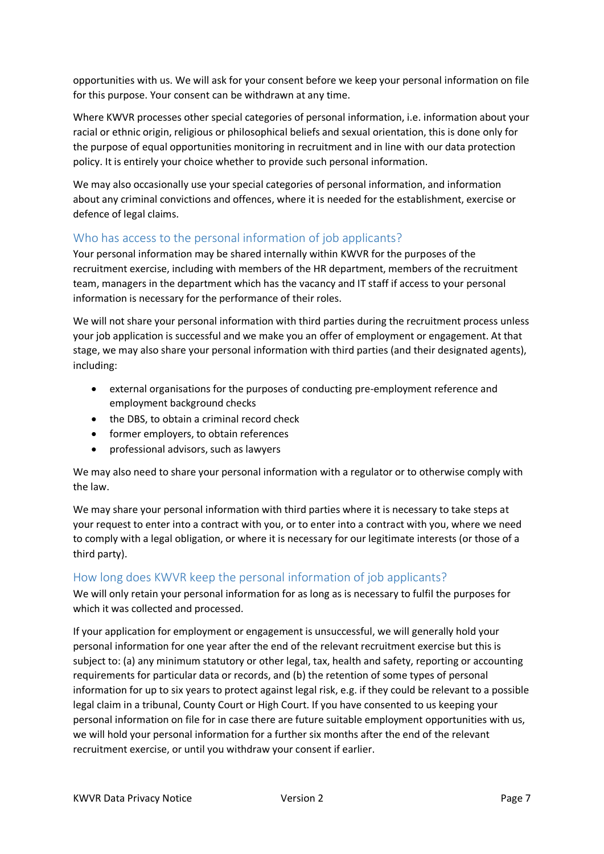opportunities with us. We will ask for your consent before we keep your personal information on file for this purpose. Your consent can be withdrawn at any time.

Where KWVR processes other special categories of personal information, i.e. information about your racial or ethnic origin, religious or philosophical beliefs and sexual orientation, this is done only for the purpose of equal opportunities monitoring in recruitment and in line with our data protection policy. It is entirely your choice whether to provide such personal information.

We may also occasionally use your special categories of personal information, and information about any criminal convictions and offences, where it is needed for the establishment, exercise or defence of legal claims.

#### Who has access to the personal information of job applicants?

Your personal information may be shared internally within KWVR for the purposes of the recruitment exercise, including with members of the HR department, members of the recruitment team, managers in the department which has the vacancy and IT staff if access to your personal information is necessary for the performance of their roles.

We will not share your personal information with third parties during the recruitment process unless your job application is successful and we make you an offer of employment or engagement. At that stage, we may also share your personal information with third parties (and their designated agents), including:

- external organisations for the purposes of conducting pre-employment reference and employment background checks
- the DBS, to obtain a criminal record check
- former employers, to obtain references
- professional advisors, such as lawyers

We may also need to share your personal information with a regulator or to otherwise comply with the law.

We may share your personal information with third parties where it is necessary to take steps at your request to enter into a contract with you, or to enter into a contract with you, where we need to comply with a legal obligation, or where it is necessary for our legitimate interests (or those of a third party).

## How long does KWVR keep the personal information of job applicants?

We will only retain your personal information for as long as is necessary to fulfil the purposes for which it was collected and processed.

If your application for employment or engagement is unsuccessful, we will generally hold your personal information for one year after the end of the relevant recruitment exercise but this is subject to: (a) any minimum statutory or other legal, tax, health and safety, reporting or accounting requirements for particular data or records, and (b) the retention of some types of personal information for up to six years to protect against legal risk, e.g. if they could be relevant to a possible legal claim in a tribunal, County Court or High Court. If you have consented to us keeping your personal information on file for in case there are future suitable employment opportunities with us, we will hold your personal information for a further six months after the end of the relevant recruitment exercise, or until you withdraw your consent if earlier.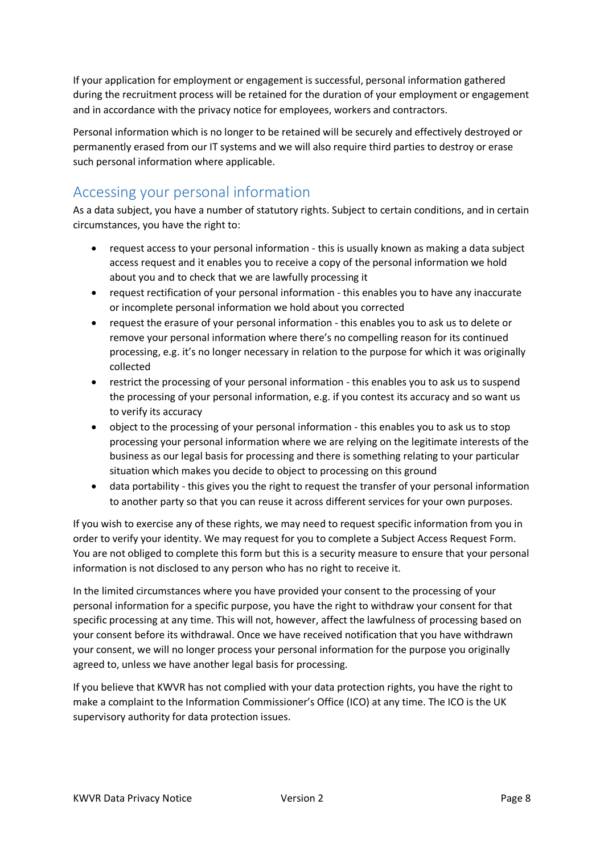If your application for employment or engagement is successful, personal information gathered during the recruitment process will be retained for the duration of your employment or engagement and in accordance with the privacy notice for employees, workers and contractors.

Personal information which is no longer to be retained will be securely and effectively destroyed or permanently erased from our IT systems and we will also require third parties to destroy or erase such personal information where applicable.

# Accessing your personal information

As a data subject, you have a number of statutory rights. Subject to certain conditions, and in certain circumstances, you have the right to:

- request access to your personal information this is usually known as making a data subject access request and it enables you to receive a copy of the personal information we hold about you and to check that we are lawfully processing it
- request rectification of your personal information this enables you to have any inaccurate or incomplete personal information we hold about you corrected
- request the erasure of your personal information this enables you to ask us to delete or remove your personal information where there's no compelling reason for its continued processing, e.g. it's no longer necessary in relation to the purpose for which it was originally collected
- restrict the processing of your personal information this enables you to ask us to suspend the processing of your personal information, e.g. if you contest its accuracy and so want us to verify its accuracy
- object to the processing of your personal information this enables you to ask us to stop processing your personal information where we are relying on the legitimate interests of the business as our legal basis for processing and there is something relating to your particular situation which makes you decide to object to processing on this ground
- data portability this gives you the right to request the transfer of your personal information to another party so that you can reuse it across different services for your own purposes.

If you wish to exercise any of these rights, we may need to request specific information from you in order to verify your identity. We may request for you to complete a Subject Access Request Form. You are not obliged to complete this form but this is a security measure to ensure that your personal information is not disclosed to any person who has no right to receive it.

In the limited circumstances where you have provided your consent to the processing of your personal information for a specific purpose, you have the right to withdraw your consent for that specific processing at any time. This will not, however, affect the lawfulness of processing based on your consent before its withdrawal. Once we have received notification that you have withdrawn your consent, we will no longer process your personal information for the purpose you originally agreed to, unless we have another legal basis for processing.

If you believe that KWVR has not complied with your data protection rights, you have the right to make a complaint to the Information Commissioner's Office (ICO) at any time. The ICO is the UK supervisory authority for data protection issues.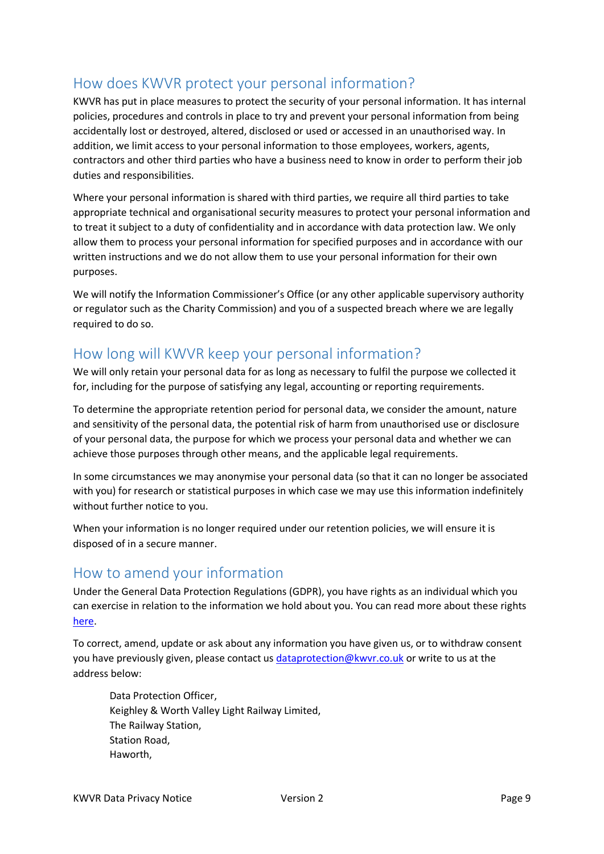# How does KWVR protect your personal information?

KWVR has put in place measures to protect the security of your personal information. It has internal policies, procedures and controls in place to try and prevent your personal information from being accidentally lost or destroyed, altered, disclosed or used or accessed in an unauthorised way. In addition, we limit access to your personal information to those employees, workers, agents, contractors and other third parties who have a business need to know in order to perform their job duties and responsibilities.

Where your personal information is shared with third parties, we require all third parties to take appropriate technical and organisational security measures to protect your personal information and to treat it subject to a duty of confidentiality and in accordance with data protection law. We only allow them to process your personal information for specified purposes and in accordance with our written instructions and we do not allow them to use your personal information for their own purposes.

We will notify the Information Commissioner's Office (or any other applicable supervisory authority or regulator such as the Charity Commission) and you of a suspected breach where we are legally required to do so.

## How long will KWVR keep your personal information?

We will only retain your personal data for as long as necessary to fulfil the purpose we collected it for, including for the purpose of satisfying any legal, accounting or reporting requirements.

To determine the appropriate retention period for personal data, we consider the amount, nature and sensitivity of the personal data, the potential risk of harm from unauthorised use or disclosure of your personal data, the purpose for which we process your personal data and whether we can achieve those purposes through other means, and the applicable legal requirements.

In some circumstances we may anonymise your personal data (so that it can no longer be associated with you) for research or statistical purposes in which case we may use this information indefinitely without further notice to you.

When your information is no longer required under our retention policies, we will ensure it is disposed of in a secure manner.

## How to amend your information

Under the General Data Protection Regulations (GDPR), you have rights as an individual which you can exercise in relation to the information we hold about you. You can read more about these rights here.

To correct, amend, update or ask about any information you have given us, or to withdraw consent you have previously given, please contact us dataprotection@kwvr.co.uk or write to us at the address below:

Data Protection Officer, Keighley & Worth Valley Light Railway Limited, The Railway Station, Station Road, Haworth,